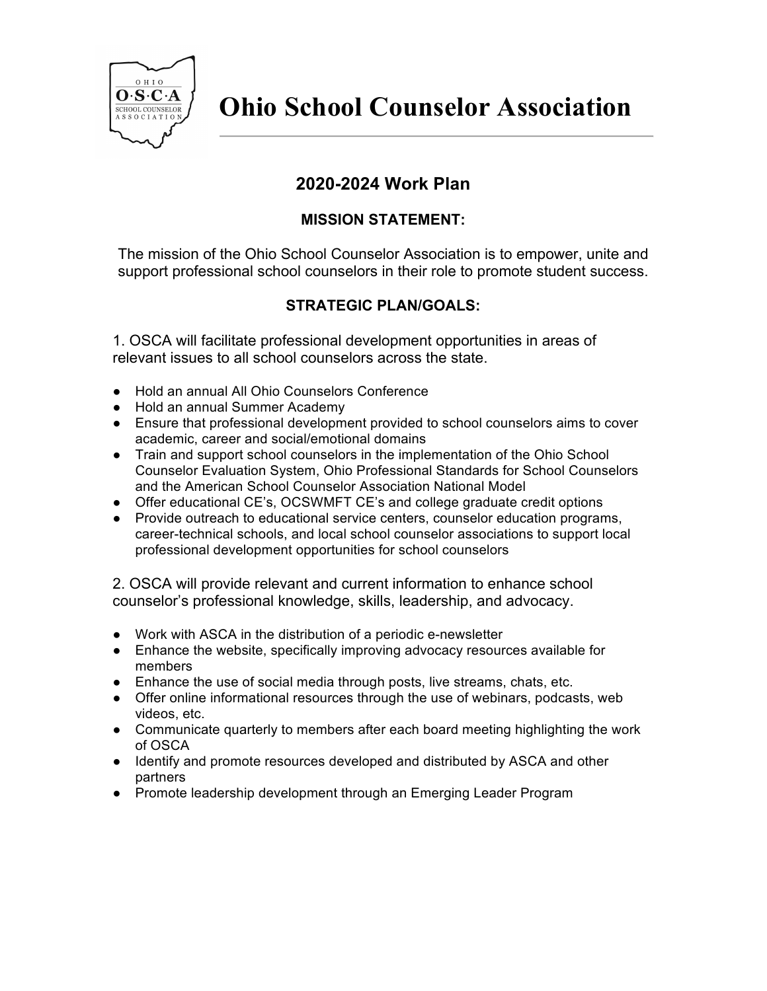

## **2020-2024 Work Plan**

## **MISSION STATEMENT:**

The mission of the Ohio School Counselor Association is to empower, unite and support professional school counselors in their role to promote student success.

## **STRATEGIC PLAN/GOALS:**

1. OSCA will facilitate professional development opportunities in areas of relevant issues to all school counselors across the state.

- Hold an annual All Ohio Counselors Conference
- Hold an annual Summer Academy
- Ensure that professional development provided to school counselors aims to cover academic, career and social/emotional domains
- Train and support school counselors in the implementation of the Ohio School Counselor Evaluation System, Ohio Professional Standards for School Counselors and the American School Counselor Association National Model
- Offer educational CE's, OCSWMFT CE's and college graduate credit options
- Provide outreach to educational service centers, counselor education programs, career-technical schools, and local school counselor associations to support local professional development opportunities for school counselors

2. OSCA will provide relevant and current information to enhance school counselor's professional knowledge, skills, leadership, and advocacy.

- Work with ASCA in the distribution of a periodic e-newsletter
- Enhance the website, specifically improving advocacy resources available for members
- Enhance the use of social media through posts, live streams, chats, etc.
- Offer online informational resources through the use of webinars, podcasts, web videos, etc.
- Communicate quarterly to members after each board meeting highlighting the work of OSCA
- Identify and promote resources developed and distributed by ASCA and other partners
- Promote leadership development through an Emerging Leader Program